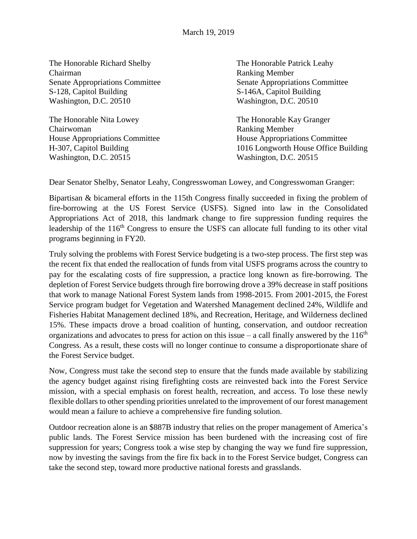The Honorable Richard Shelby Chairman Senate Appropriations Committee S-128, Capitol Building Washington, D.C. 20510

The Honorable Nita Lowey Chairwoman House Appropriations Committee H-307, Capitol Building Washington, D.C. 20515

The Honorable Patrick Leahy Ranking Member Senate Appropriations Committee S-146A, Capitol Building Washington, D.C. 20510

The Honorable Kay Granger Ranking Member House Appropriations Committee 1016 Longworth House Office Building Washington, D.C. 20515

Dear Senator Shelby, Senator Leahy, Congresswoman Lowey, and Congresswoman Granger:

Bipartisan & bicameral efforts in the 115th Congress finally succeeded in fixing the problem of fire-borrowing at the US Forest Service (USFS). Signed into law in the Consolidated Appropriations Act of 2018, this landmark change to fire suppression funding requires the leadership of the 116<sup>th</sup> Congress to ensure the USFS can allocate full funding to its other vital programs beginning in FY20.

Truly solving the problems with Forest Service budgeting is a two-step process. The first step was the recent fix that ended the reallocation of funds from vital USFS programs across the country to pay for the escalating costs of fire suppression, a practice long known as fire-borrowing. The depletion of Forest Service budgets through fire borrowing drove a 39% decrease in staff positions that work to manage National Forest System lands from 1998-2015. From 2001-2015, the Forest Service program budget for Vegetation and Watershed Management declined 24%, Wildlife and Fisheries Habitat Management declined 18%, and Recreation, Heritage, and Wilderness declined 15%. These impacts drove a broad coalition of hunting, conservation, and outdoor recreation organizations and advocates to press for action on this issue – a call finally answered by the  $116<sup>th</sup>$ Congress. As a result, these costs will no longer continue to consume a disproportionate share of the Forest Service budget.

Now, Congress must take the second step to ensure that the funds made available by stabilizing the agency budget against rising firefighting costs are reinvested back into the Forest Service mission, with a special emphasis on forest health, recreation, and access. To lose these newly flexible dollars to other spending priorities unrelated to the improvement of our forest management would mean a failure to achieve a comprehensive fire funding solution.

Outdoor recreation alone is an \$887B industry that relies on the proper management of America's public lands. The Forest Service mission has been burdened with the increasing cost of fire suppression for years; Congress took a wise step by changing the way we fund fire suppression, now by investing the savings from the fire fix back in to the Forest Service budget, Congress can take the second step, toward more productive national forests and grasslands.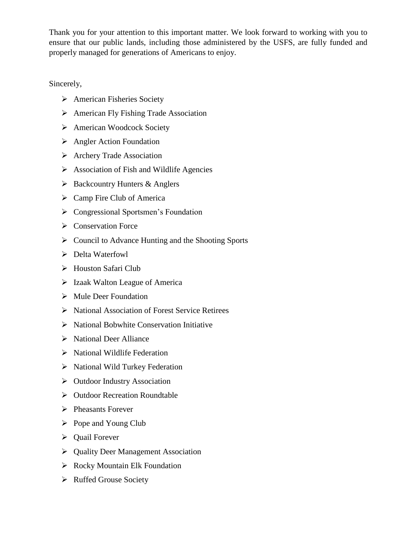Thank you for your attention to this important matter. We look forward to working with you to ensure that our public lands, including those administered by the USFS, are fully funded and properly managed for generations of Americans to enjoy.

Sincerely,

- American Fisheries Society
- $\triangleright$  American Fly Fishing Trade Association
- American Woodcock Society
- $\triangleright$  Angler Action Foundation
- Archery Trade Association
- $\triangleright$  Association of Fish and Wildlife Agencies
- $\triangleright$  Backcountry Hunters & Anglers
- $\triangleright$  Camp Fire Club of America
- Congressional Sportsmen's Foundation
- $\triangleright$  Conservation Force
- $\triangleright$  Council to Advance Hunting and the Shooting Sports
- Delta Waterfowl
- Houston Safari Club
- $\triangleright$  Izaak Walton League of America
- $\triangleright$  Mule Deer Foundation
- $\triangleright$  National Association of Forest Service Retirees
- $\triangleright$  National Bobwhite Conservation Initiative
- $\triangleright$  National Deer Alliance
- $\triangleright$  National Wildlife Federation
- $\triangleright$  National Wild Turkey Federation
- $\triangleright$  Outdoor Industry Association
- $\triangleright$  Outdoor Recreation Roundtable
- $\triangleright$  Pheasants Forever
- $\triangleright$  Pope and Young Club
- $\triangleright$  Quail Forever
- **►** Quality Deer Management Association
- $\triangleright$  Rocky Mountain Elk Foundation
- Ruffed Grouse Society